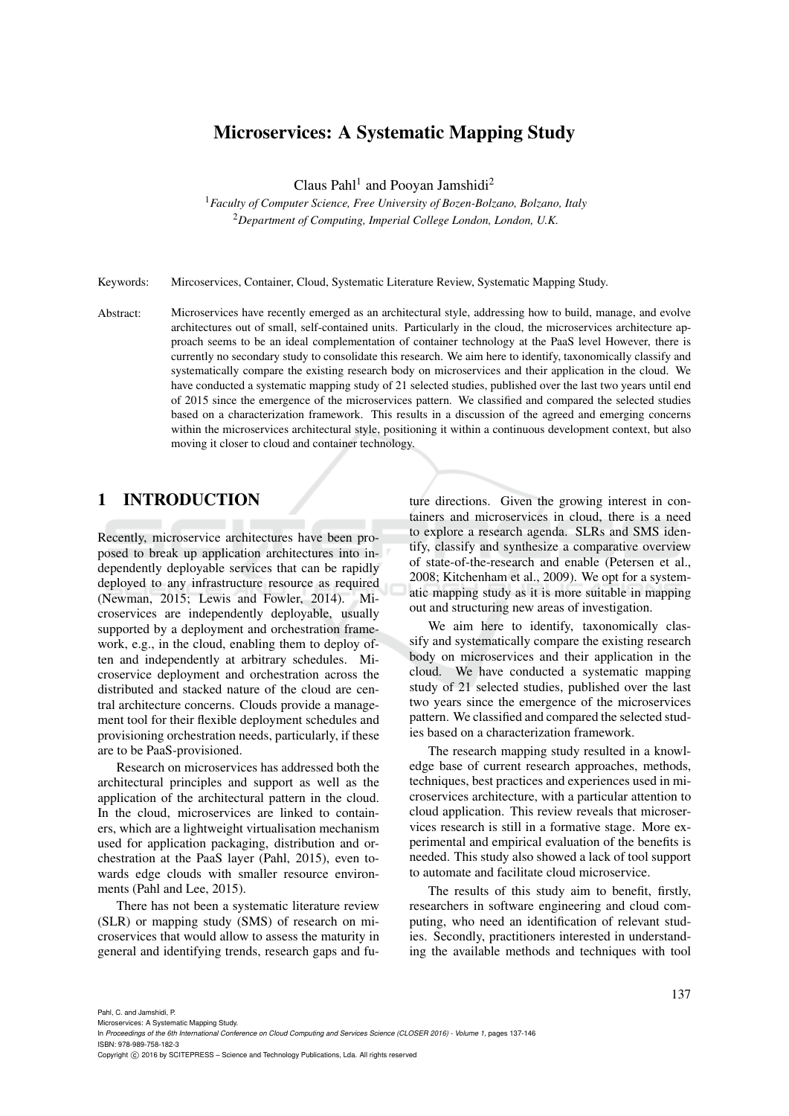# Microservices: A Systematic Mapping Study

Claus Pahl<sup>1</sup> and Pooyan Jamshidi<sup>2</sup>

<sup>1</sup>*Faculty of Computer Science, Free University of Bozen-Bolzano, Bolzano, Italy* <sup>2</sup>*Department of Computing, Imperial College London, London, U.K.*

Keywords: Mircoservices, Container, Cloud, Systematic Literature Review, Systematic Mapping Study.

Abstract: Microservices have recently emerged as an architectural style, addressing how to build, manage, and evolve architectures out of small, self-contained units. Particularly in the cloud, the microservices architecture approach seems to be an ideal complementation of container technology at the PaaS level However, there is currently no secondary study to consolidate this research. We aim here to identify, taxonomically classify and systematically compare the existing research body on microservices and their application in the cloud. We have conducted a systematic mapping study of 21 selected studies, published over the last two years until end of 2015 since the emergence of the microservices pattern. We classified and compared the selected studies based on a characterization framework. This results in a discussion of the agreed and emerging concerns within the microservices architectural style, positioning it within a continuous development context, but also moving it closer to cloud and container technology.

# 1 INTRODUCTION

Recently, microservice architectures have been proposed to break up application architectures into independently deployable services that can be rapidly deployed to any infrastructure resource as required (Newman, 2015; Lewis and Fowler, 2014). Microservices are independently deployable, usually supported by a deployment and orchestration framework, e.g., in the cloud, enabling them to deploy often and independently at arbitrary schedules. Microservice deployment and orchestration across the distributed and stacked nature of the cloud are central architecture concerns. Clouds provide a management tool for their flexible deployment schedules and provisioning orchestration needs, particularly, if these are to be PaaS-provisioned.

Research on microservices has addressed both the architectural principles and support as well as the application of the architectural pattern in the cloud. In the cloud, microservices are linked to containers, which are a lightweight virtualisation mechanism used for application packaging, distribution and orchestration at the PaaS layer (Pahl, 2015), even towards edge clouds with smaller resource environments (Pahl and Lee, 2015).

There has not been a systematic literature review (SLR) or mapping study (SMS) of research on microservices that would allow to assess the maturity in general and identifying trends, research gaps and future directions. Given the growing interest in containers and microservices in cloud, there is a need to explore a research agenda. SLRs and SMS identify, classify and synthesize a comparative overview of state-of-the-research and enable (Petersen et al., 2008; Kitchenham et al., 2009). We opt for a systematic mapping study as it is more suitable in mapping out and structuring new areas of investigation.

We aim here to identify, taxonomically classify and systematically compare the existing research body on microservices and their application in the cloud. We have conducted a systematic mapping study of 21 selected studies, published over the last two years since the emergence of the microservices pattern. We classified and compared the selected studies based on a characterization framework.

The research mapping study resulted in a knowledge base of current research approaches, methods, techniques, best practices and experiences used in microservices architecture, with a particular attention to cloud application. This review reveals that microservices research is still in a formative stage. More experimental and empirical evaluation of the benefits is needed. This study also showed a lack of tool support to automate and facilitate cloud microservice.

The results of this study aim to benefit, firstly, researchers in software engineering and cloud computing, who need an identification of relevant studies. Secondly, practitioners interested in understanding the available methods and techniques with tool

In Proceedings of the 6th International Conference on Cloud Computing and Services Science (CLOSER 2016) - Volume 1, pages 137-146

ISBN: 978-989-758-182-3

Copyright C 2016 by SCITEPRESS - Science and Technology Publications, Lda. All rights reserved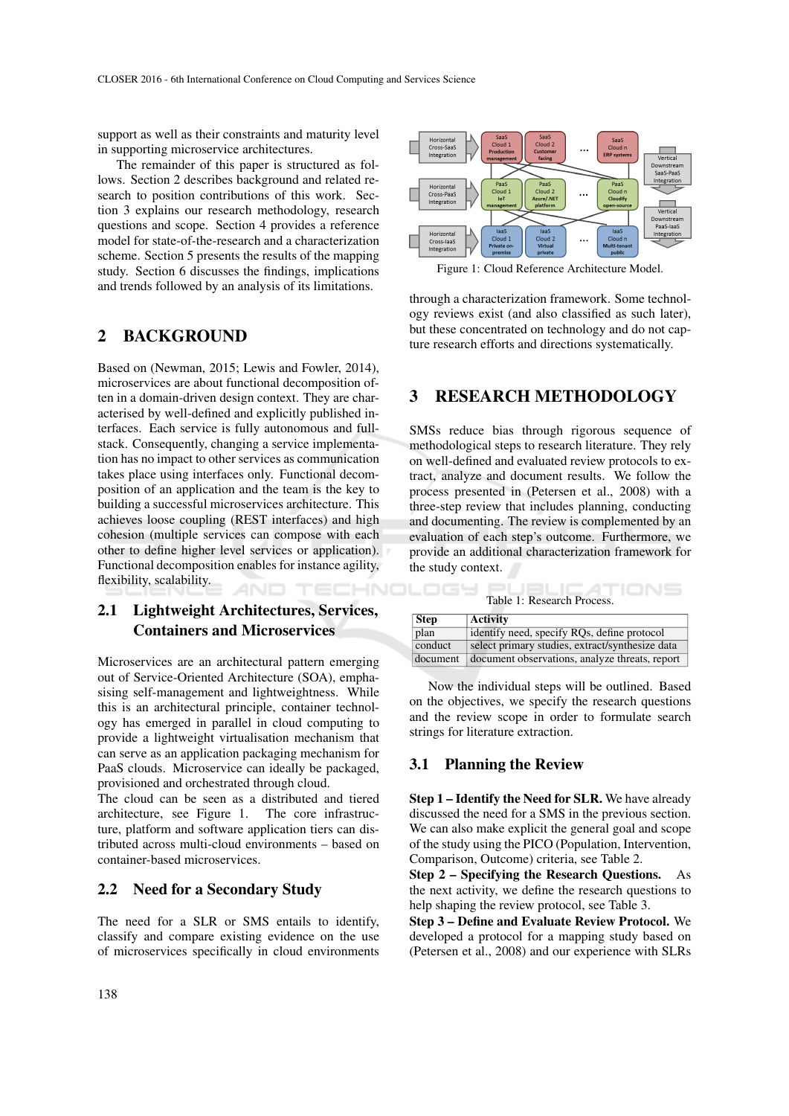support as well as their constraints and maturity level in supporting microservice architectures.

The remainder of this paper is structured as follows. Section 2 describes background and related research to position contributions of this work. Section 3 explains our research methodology, research questions and scope. Section 4 provides a reference model for state-of-the-research and a characterization scheme. Section 5 presents the results of the mapping study. Section 6 discusses the findings, implications and trends followed by an analysis of its limitations.

# 2 BACKGROUND

Based on (Newman, 2015; Lewis and Fowler, 2014), microservices are about functional decomposition often in a domain-driven design context. They are characterised by well-defined and explicitly published interfaces. Each service is fully autonomous and fullstack. Consequently, changing a service implementation has no impact to other services as communication takes place using interfaces only. Functional decomposition of an application and the team is the key to building a successful microservices architecture. This achieves loose coupling (REST interfaces) and high cohesion (multiple services can compose with each other to define higher level services or application). Functional decomposition enables for instance agility, flexibility, scalability.

# 2.1 Lightweight Architectures, Services, Containers and Microservices

Microservices are an architectural pattern emerging out of Service-Oriented Architecture (SOA), emphasising self-management and lightweightness. While this is an architectural principle, container technology has emerged in parallel in cloud computing to provide a lightweight virtualisation mechanism that can serve as an application packaging mechanism for PaaS clouds. Microservice can ideally be packaged, provisioned and orchestrated through cloud.

The cloud can be seen as a distributed and tiered architecture, see Figure 1. The core infrastructure, platform and software application tiers can distributed across multi-cloud environments – based on container-based microservices.

### 2.2 Need for a Secondary Study

The need for a SLR or SMS entails to identify, classify and compare existing evidence on the use of microservices specifically in cloud environments



Figure 1: Cloud Reference Architecture Model.

through a characterization framework. Some technology reviews exist (and also classified as such later), but these concentrated on technology and do not capture research efforts and directions systematically.

#### 3 RESEARCH METHODOLOGY

SMSs reduce bias through rigorous sequence of methodological steps to research literature. They rely on well-defined and evaluated review protocols to extract, analyze and document results. We follow the process presented in (Petersen et al., 2008) with a three-step review that includes planning, conducting and documenting. The review is complemented by an evaluation of each step's outcome. Furthermore, we provide an additional characterization framework for the study context.

| Table 1: Research Process. |                                                 |  |  |  |  |
|----------------------------|-------------------------------------------------|--|--|--|--|
| Step                       | <b>Activity</b>                                 |  |  |  |  |
| plan                       | identify need, specify RQs, define protocol     |  |  |  |  |
| conduct                    | select primary studies, extract/synthesize data |  |  |  |  |
| document                   | document observations, analyze threats, report  |  |  |  |  |

Now the individual steps will be outlined. Based on the objectives, we specify the research questions and the review scope in order to formulate search strings for literature extraction.

#### 3.1 Planning the Review

Step 1 – Identify the Need for SLR. We have already discussed the need for a SMS in the previous section. We can also make explicit the general goal and scope of the study using the PICO (Population, Intervention, Comparison, Outcome) criteria, see Table 2.

Step 2 – Specifying the Research Questions. As the next activity, we define the research questions to help shaping the review protocol, see Table 3.

Step 3 – Define and Evaluate Review Protocol. We developed a protocol for a mapping study based on (Petersen et al., 2008) and our experience with SLRs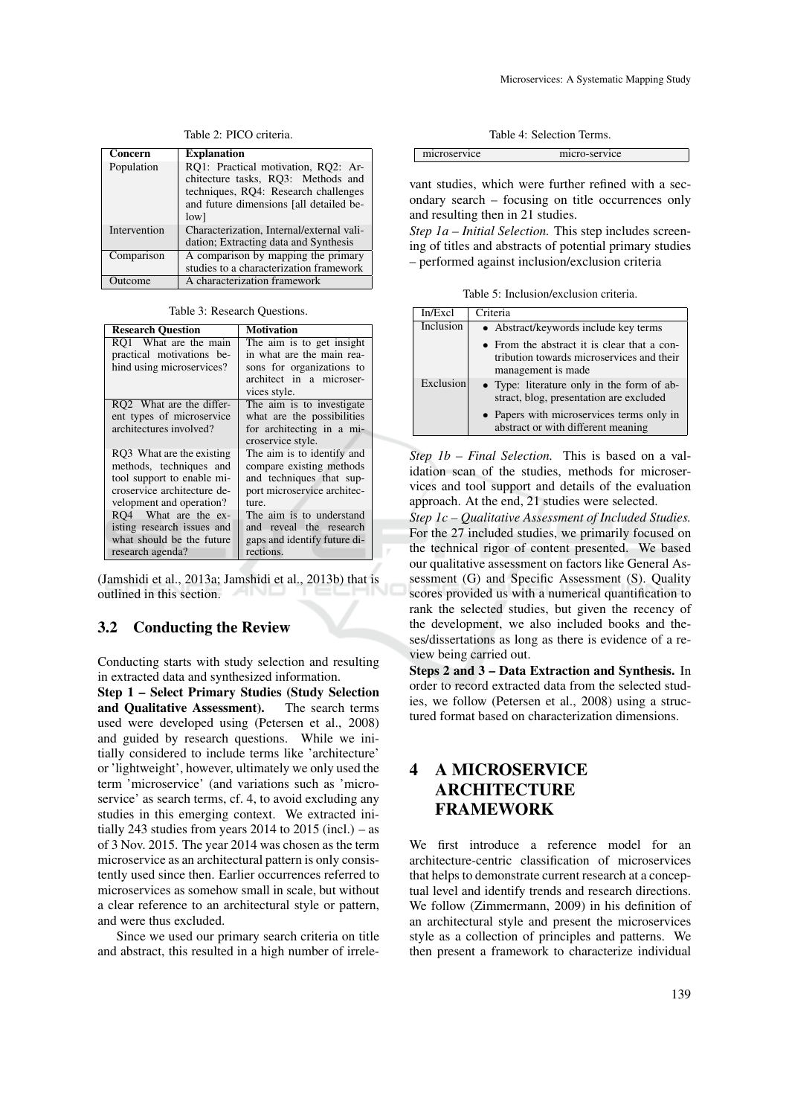| Concern      | <b>Explanation</b>                        |
|--------------|-------------------------------------------|
| Population   | RO1: Practical motivation, RO2: Ar-       |
|              | chitecture tasks, RO3: Methods and        |
|              | techniques, RQ4: Research challenges      |
|              | and future dimensions [all detailed be-   |
|              | low                                       |
| Intervention | Characterization, Internal/external vali- |
|              | dation; Extracting data and Synthesis     |
| Comparison   | A comparison by mapping the primary       |
|              | studies to a characterization framework   |
| Outcome      | A characterization framework              |

Table 2: PICO criteria.

Table 3: Research Questions.

| <b>Research Ouestion</b>                                                                                                                      | <b>Motivation</b>                                                                                                               |  |  |  |  |
|-----------------------------------------------------------------------------------------------------------------------------------------------|---------------------------------------------------------------------------------------------------------------------------------|--|--|--|--|
| RO1 What are the main<br>practical motivations be-<br>hind using microservices?                                                               | The aim is to get insight<br>in what are the main rea-<br>sons for organizations to<br>architect in a microser-<br>vices style. |  |  |  |  |
| RQ2 What are the differ-<br>ent types of microservice<br>architectures involved?                                                              | The aim is to investigate<br>what are the possibilities<br>for architecting in a mi-<br>croservice style.                       |  |  |  |  |
| RQ3 What are the existing<br>methods, techniques and<br>tool support to enable mi-<br>croservice architecture de-<br>velopment and operation? | The aim is to identify and<br>compare existing methods<br>and techniques that sup-<br>port microservice architec-<br>ture.      |  |  |  |  |
| RO4 What are the ex-<br>isting research issues and<br>what should be the future<br>research agenda?                                           | The aim is to understand<br>and reveal the research<br>gaps and identify future di-<br>rections.                                |  |  |  |  |

(Jamshidi et al., 2013a; Jamshidi et al., 2013b) that is outlined in this section.

#### 3.2 Conducting the Review

Conducting starts with study selection and resulting in extracted data and synthesized information.

Step 1 – Select Primary Studies (Study Selection and Qualitative Assessment). The search terms used were developed using (Petersen et al., 2008) and guided by research questions. While we initially considered to include terms like 'architecture' or 'lightweight', however, ultimately we only used the term 'microservice' (and variations such as 'microservice' as search terms, cf. 4, to avoid excluding any studies in this emerging context. We extracted initially 243 studies from years 2014 to 2015 (incl.) – as of 3 Nov. 2015. The year 2014 was chosen as the term microservice as an architectural pattern is only consistently used since then. Earlier occurrences referred to microservices as somehow small in scale, but without a clear reference to an architectural style or pattern, and were thus excluded.

Since we used our primary search criteria on title and abstract, this resulted in a high number of irrele-

| microservice | micro-service |
|--------------|---------------|
|              |               |

vant studies, which were further refined with a secondary search – focusing on title occurrences only and resulting then in 21 studies.

*Step 1a – Initial Selection.* This step includes screening of titles and abstracts of potential primary studies – performed against inclusion/exclusion criteria

Table 5: Inclusion/exclusion criteria.

| In/Excl   | Criteria                                                                                                       |
|-----------|----------------------------------------------------------------------------------------------------------------|
| Inclusion | • Abstract/keywords include key terms                                                                          |
|           | • From the abstract it is clear that a con-<br>tribution towards microservices and their<br>management is made |
| Exclusion | • Type: literature only in the form of ab-<br>stract, blog, presentation are excluded                          |
|           | • Papers with microservices terms only in<br>abstract or with different meaning                                |

*Step 1b – Final Selection.* This is based on a validation scan of the studies, methods for microservices and tool support and details of the evaluation approach. At the end, 21 studies were selected.

*Step 1c – Qualitative Assessment of Included Studies.* For the 27 included studies, we primarily focused on the technical rigor of content presented. We based our qualitative assessment on factors like General Assessment (G) and Specific Assessment (S). Quality scores provided us with a numerical quantification to rank the selected studies, but given the recency of the development, we also included books and theses/dissertations as long as there is evidence of a review being carried out.

Steps 2 and 3 – Data Extraction and Synthesis. In order to record extracted data from the selected studies, we follow (Petersen et al., 2008) using a structured format based on characterization dimensions.

# 4 A MICROSERVICE **ARCHITECTURE** FRAMEWORK

We first introduce a reference model for an architecture-centric classification of microservices that helps to demonstrate current research at a conceptual level and identify trends and research directions. We follow (Zimmermann, 2009) in his definition of an architectural style and present the microservices style as a collection of principles and patterns. We then present a framework to characterize individual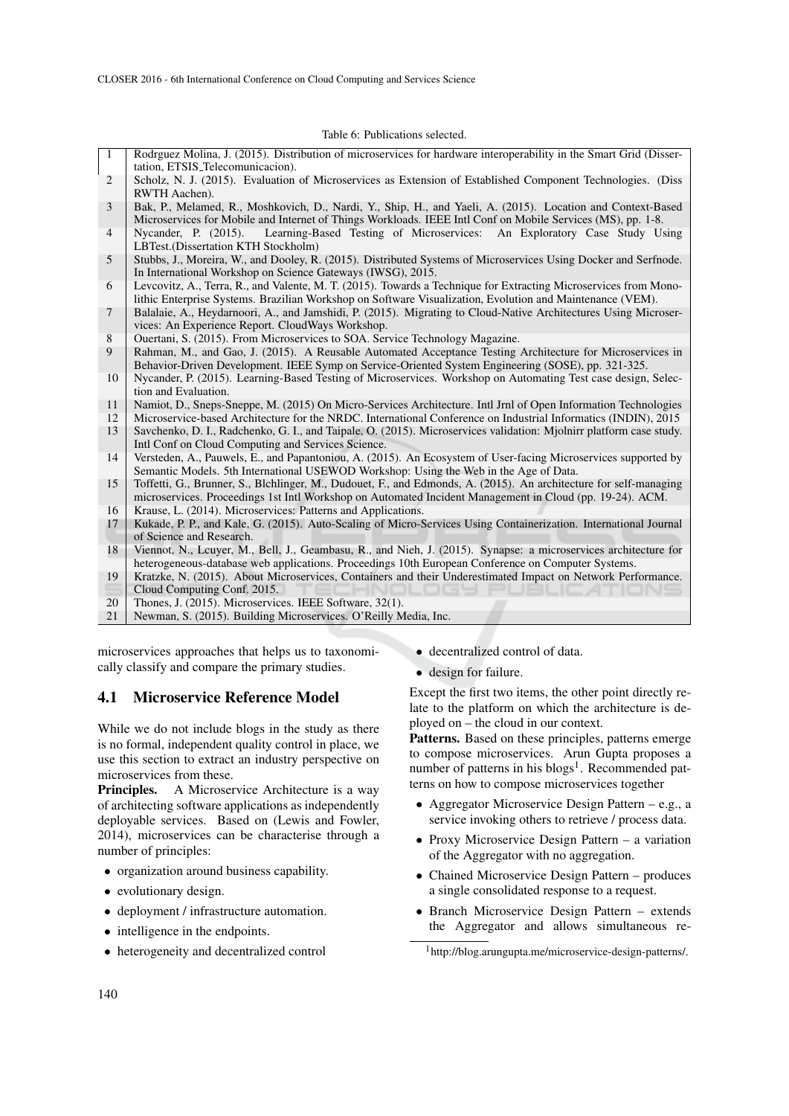Table 6: Publications selected.

| $\mathbf{1}$    | Rodrguez Molina, J. (2015). Distribution of microservices for hardware interoperability in the Smart Grid (Disser-<br>tation, ETSIS_Telecomunicacion).                                                                                                                                          |
|-----------------|-------------------------------------------------------------------------------------------------------------------------------------------------------------------------------------------------------------------------------------------------------------------------------------------------|
| 2               | Scholz, N. J. (2015). Evaluation of Microservices as Extension of Established Component Technologies. (Diss<br>RWTH Aachen).                                                                                                                                                                    |
| 3               | Bak, P., Melamed, R., Moshkovich, D., Nardi, Y., Ship, H., and Yaeli, A. (2015). Location and Context-Based<br>Microservices for Mobile and Internet of Things Workloads. IEEE Intl Conf on Mobile Services (MS), pp. 1-8.                                                                      |
| $\overline{4}$  | Learning-Based Testing of Microservices: An Exploratory Case Study Using<br>Nycander, P. (2015).<br>LBTest.(Dissertation KTH Stockholm)                                                                                                                                                         |
| 5               | Stubbs, J., Moreira, W., and Dooley, R. (2015). Distributed Systems of Microservices Using Docker and Serfnode.<br>In International Workshop on Science Gateways (IWSG), 2015.                                                                                                                  |
| 6               | Levcovitz, A., Terra, R., and Valente, M. T. (2015). Towards a Technique for Extracting Microservices from Mono-<br>lithic Enterprise Systems. Brazilian Workshop on Software Visualization, Evolution and Maintenance (VEM).                                                                   |
| $7\phantom{.0}$ | Balalaie, A., Heydarnoori, A., and Jamshidi, P. (2015). Migrating to Cloud-Native Architectures Using Microser-<br>vices: An Experience Report. CloudWays Workshop.                                                                                                                             |
| 8<br>9          | Ouertani, S. (2015). From Microservices to SOA. Service Technology Magazine.<br>Rahman, M., and Gao, J. (2015). A Reusable Automated Acceptance Testing Architecture for Microservices in<br>Behavior-Driven Development. IEEE Symp on Service-Oriented System Engineering (SOSE), pp. 321-325. |
| 10              | Nycander, P. (2015). Learning-Based Testing of Microservices. Workshop on Automating Test case design, Selec-<br>tion and Evaluation.                                                                                                                                                           |
| 11<br>12        | Namiot, D., Sneps-Sneppe, M. (2015) On Micro-Services Architecture. Intl Jrnl of Open Information Technologies<br>Microservice-based Architecture for the NRDC. International Conference on Industrial Informatics (INDIN), 2015                                                                |
| 13              | Savchenko, D. I., Radchenko, G. I., and Taipale, O. (2015). Microservices validation: Mjolnirr platform case study.<br>Intl Conf on Cloud Computing and Services Science.                                                                                                                       |
| 14              | Versteden, A., Pauwels, E., and Papantoniou, A. (2015). An Ecosystem of User-facing Microservices supported by<br>Semantic Models. 5th International USEWOD Workshop: Using the Web in the Age of Data.                                                                                         |
| 15              | Toffetti, G., Brunner, S., Blchlinger, M., Dudouet, F., and Edmonds, A. (2015). An architecture for self-managing<br>microservices. Proceedings 1st Intl Workshop on Automated Incident Management in Cloud (pp. 19-24). ACM.                                                                   |
| 16              | Krause, L. (2014). Microservices: Patterns and Applications.                                                                                                                                                                                                                                    |
| 17              | Kukade, P. P., and Kale, G. (2015). Auto-Scaling of Micro-Services Using Containerization. International Journal<br>of Science and Research.                                                                                                                                                    |
| 18              | Viennot, N., Lcuyer, M., Bell, J., Geambasu, R., and Nieh, J. (2015). Synapse: a microservices architecture for                                                                                                                                                                                 |
| 19<br>⋸         | heterogeneous-database web applications. Proceedings 10th European Conference on Computer Systems.<br>Kratzke, N. (2015). About Microservices, Containers and their Underestimated Impact on Network Performance.<br>Cloud Computing Conf. 2015.                                                |
| 20              | Thones, J. (2015). Microservices. IEEE Software, 32(1).                                                                                                                                                                                                                                         |
| 21              | Newman, S. (2015). Building Microservices. O'Reilly Media, Inc.                                                                                                                                                                                                                                 |
|                 | • decentralized control of data.<br>microservices approaches that helps us to taxonomi-                                                                                                                                                                                                         |

4.1 Microservice Reference Model

cally classify and compare the primary studies.

While we do not include blogs in the study as there is no formal, independent quality control in place, we use this section to extract an industry perspective on microservices from these.

Principles. A Microservice Architecture is a way of architecting software applications as independently deployable services. Based on (Lewis and Fowler, 2014), microservices can be characterise through a number of principles:

- organization around business capability.
- evolutionary design.
- deployment / infrastructure automation.
- intelligence in the endpoints.
- heterogeneity and decentralized control

• design for failure.

Except the first two items, the other point directly relate to the platform on which the architecture is deployed on – the cloud in our context.

Patterns. Based on these principles, patterns emerge to compose microservices. Arun Gupta proposes a number of patterns in his blogs<sup>1</sup>. Recommended patterns on how to compose microservices together

- Aggregator Microservice Design Pattern e.g., a service invoking others to retrieve / process data.
- Proxy Microservice Design Pattern a variation of the Aggregator with no aggregation.
- Chained Microservice Design Pattern produces a single consolidated response to a request.
- Branch Microservice Design Pattern extends the Aggregator and allows simultaneous re-

<sup>1</sup>http://blog.arungupta.me/microservice-design-patterns/.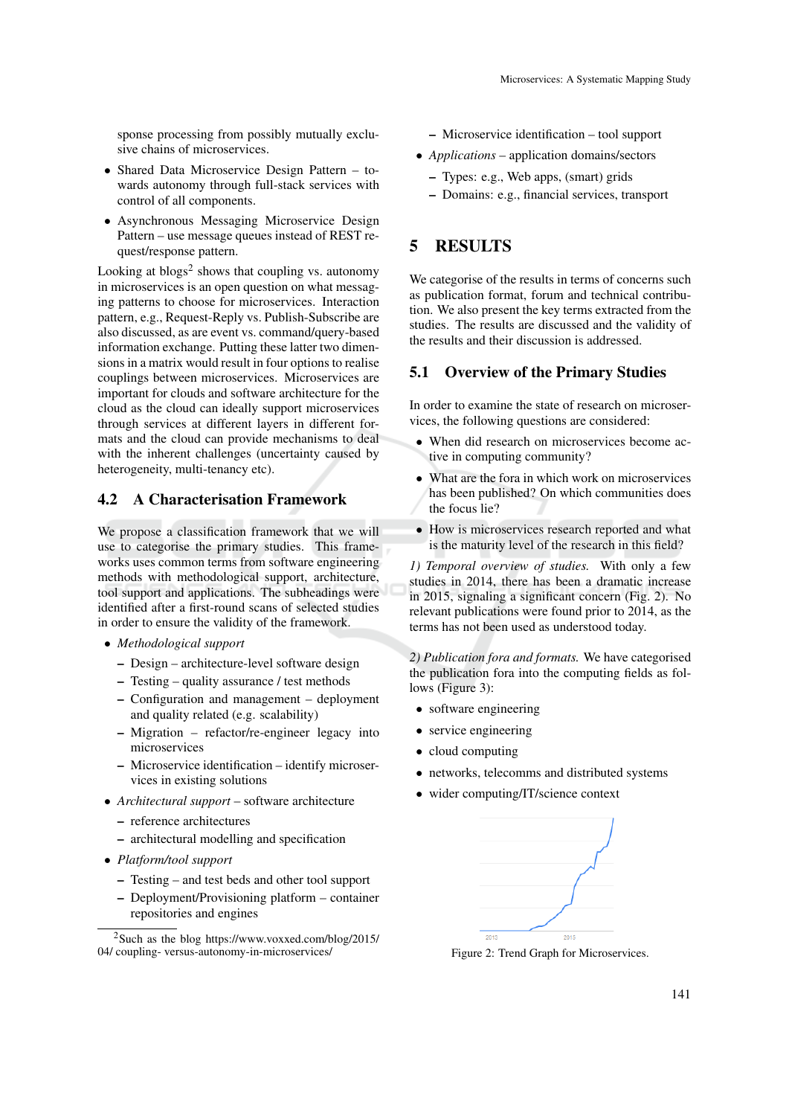sponse processing from possibly mutually exclusive chains of microservices.

- Shared Data Microservice Design Pattern towards autonomy through full-stack services with control of all components.
- Asynchronous Messaging Microservice Design Pattern – use message queues instead of REST request/response pattern.

Looking at blogs<sup>2</sup> shows that coupling vs. autonomy in microservices is an open question on what messaging patterns to choose for microservices. Interaction pattern, e.g., Request-Reply vs. Publish-Subscribe are also discussed, as are event vs. command/query-based information exchange. Putting these latter two dimensions in a matrix would result in four options to realise couplings between microservices. Microservices are important for clouds and software architecture for the cloud as the cloud can ideally support microservices through services at different layers in different formats and the cloud can provide mechanisms to deal with the inherent challenges (uncertainty caused by heterogeneity, multi-tenancy etc).

### 4.2 A Characterisation Framework

We propose a classification framework that we will use to categorise the primary studies. This frameworks uses common terms from software engineering methods with methodological support, architecture, tool support and applications. The subheadings were identified after a first-round scans of selected studies in order to ensure the validity of the framework.

- *Methodological support*
	- Design architecture-level software design
	- Testing quality assurance / test methods
	- Configuration and management deployment and quality related (e.g. scalability)
	- Migration refactor/re-engineer legacy into microservices
	- Microservice identification identify microservices in existing solutions
- *Architectural support* software architecture
	- reference architectures
	- architectural modelling and specification
- *Platform/tool support*
	- Testing and test beds and other tool support
	- Deployment/Provisioning platform container repositories and engines
- Microservice identification tool support
- *Applications* application domains/sectors
	- Types: e.g., Web apps, (smart) grids
	- Domains: e.g., financial services, transport

### 5 RESULTS

We categorise of the results in terms of concerns such as publication format, forum and technical contribution. We also present the key terms extracted from the studies. The results are discussed and the validity of the results and their discussion is addressed.

#### 5.1 Overview of the Primary Studies

In order to examine the state of research on microservices, the following questions are considered:

- When did research on microservices become active in computing community?
- What are the fora in which work on microservices has been published? On which communities does the focus lie?
- How is microservices research reported and what is the maturity level of the research in this field?

*1) Temporal overview of studies.* With only a few studies in 2014, there has been a dramatic increase in 2015, signaling a significant concern (Fig. 2). No relevant publications were found prior to 2014, as the terms has not been used as understood today.

*2) Publication fora and formats.* We have categorised the publication fora into the computing fields as follows (Figure 3):

- software engineering
- service engineering
- cloud computing
- networks, telecomms and distributed systems
- wider computing/IT/science context



Figure 2: Trend Graph for Microservices.

<sup>2</sup>Such as the blog https://www.voxxed.com/blog/2015/ 04/ coupling- versus-autonomy-in-microservices/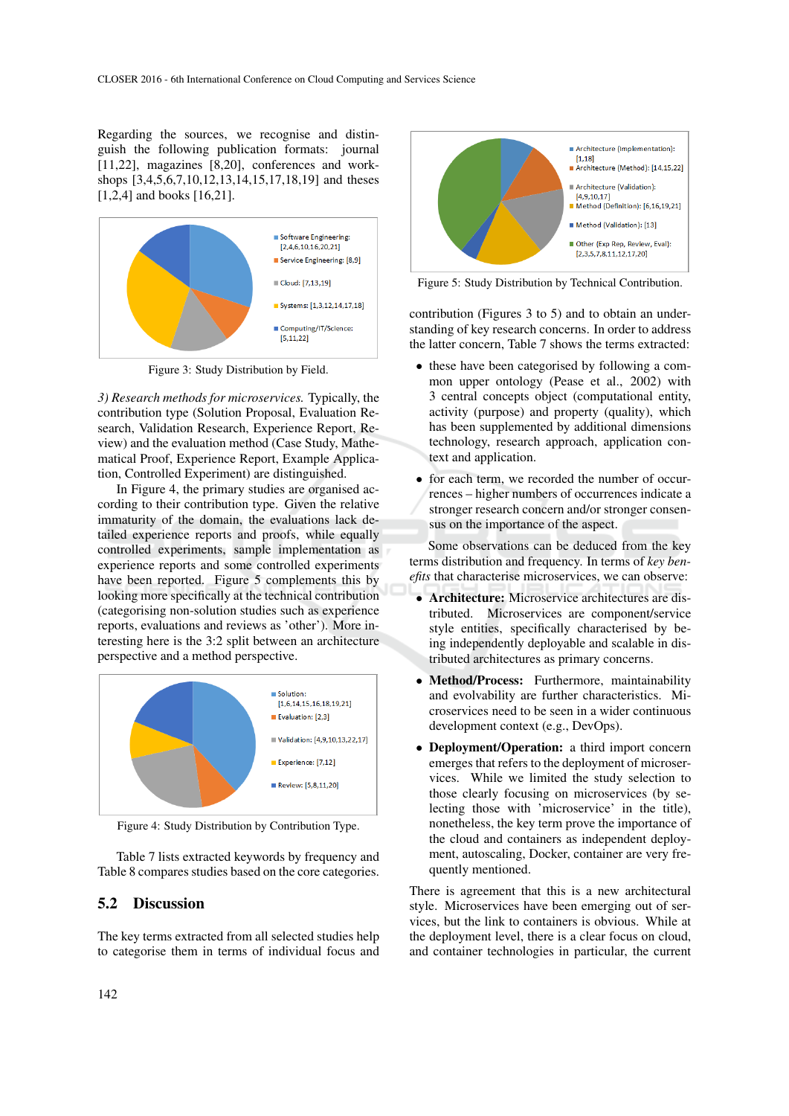Regarding the sources, we recognise and distinguish the following publication formats: journal [11,22], magazines [8,20], conferences and workshops [3,4,5,6,7,10,12,13,14,15,17,18,19] and theses [1,2,4] and books [16,21].



Figure 3: Study Distribution by Field.

*3) Research methods for microservices.* Typically, the contribution type (Solution Proposal, Evaluation Research, Validation Research, Experience Report, Review) and the evaluation method (Case Study, Mathematical Proof, Experience Report, Example Application, Controlled Experiment) are distinguished.

In Figure 4, the primary studies are organised according to their contribution type. Given the relative immaturity of the domain, the evaluations lack detailed experience reports and proofs, while equally controlled experiments, sample implementation as experience reports and some controlled experiments have been reported. Figure 5 complements this by looking more specifically at the technical contribution (categorising non-solution studies such as experience reports, evaluations and reviews as 'other'). More interesting here is the 3:2 split between an architecture perspective and a method perspective.



Figure 4: Study Distribution by Contribution Type.

Table 7 lists extracted keywords by frequency and Table 8 compares studies based on the core categories.

#### 5.2 Discussion

The key terms extracted from all selected studies help to categorise them in terms of individual focus and



Figure 5: Study Distribution by Technical Contribution.

contribution (Figures 3 to 5) and to obtain an understanding of key research concerns. In order to address the latter concern, Table 7 shows the terms extracted:

- these have been categorised by following a common upper ontology (Pease et al., 2002) with 3 central concepts object (computational entity, activity (purpose) and property (quality), which has been supplemented by additional dimensions technology, research approach, application context and application.
- for each term, we recorded the number of occurrences – higher numbers of occurrences indicate a stronger research concern and/or stronger consensus on the importance of the aspect.

Some observations can be deduced from the key terms distribution and frequency. In terms of *key benefits* that characterise microservices, we can observe:

- Architecture: Microservice architectures are distributed. Microservices are component/service style entities, specifically characterised by being independently deployable and scalable in distributed architectures as primary concerns.
- Method/Process: Furthermore, maintainability and evolvability are further characteristics. Microservices need to be seen in a wider continuous development context (e.g., DevOps).
- Deployment/Operation: a third import concern emerges that refers to the deployment of microservices. While we limited the study selection to those clearly focusing on microservices (by selecting those with 'microservice' in the title), nonetheless, the key term prove the importance of the cloud and containers as independent deployment, autoscaling, Docker, container are very frequently mentioned.

There is agreement that this is a new architectural style. Microservices have been emerging out of services, but the link to containers is obvious. While at the deployment level, there is a clear focus on cloud, and container technologies in particular, the current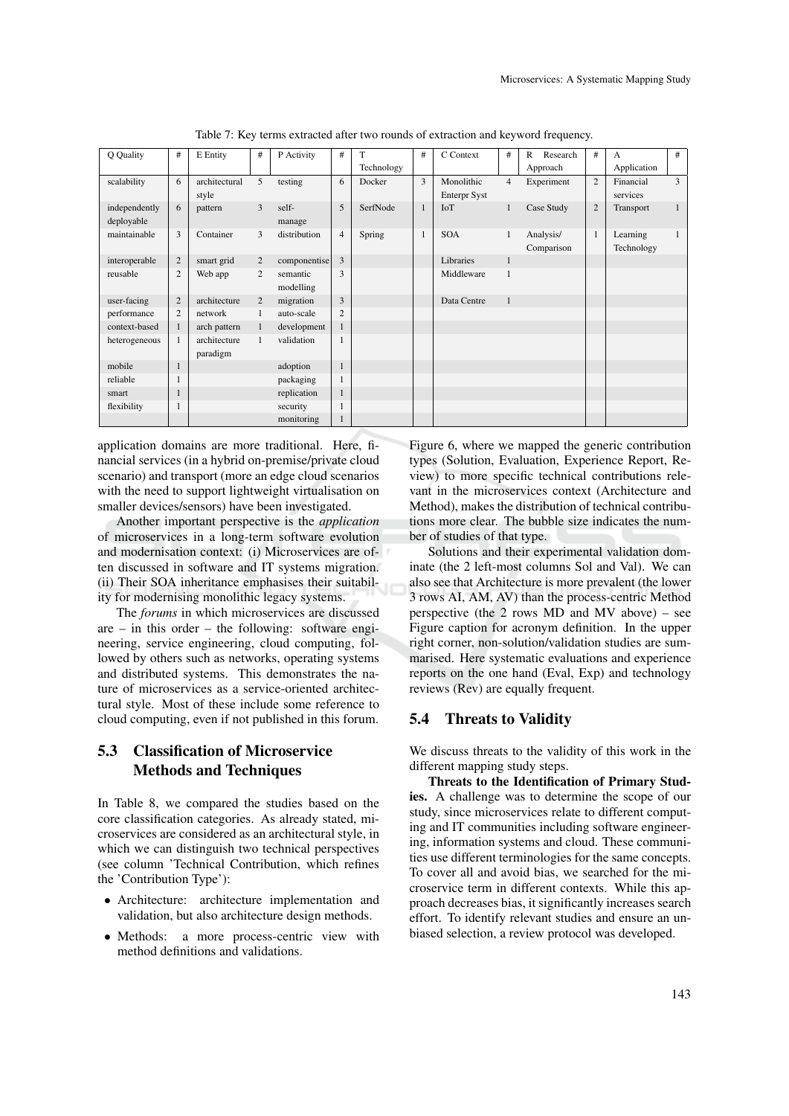| Q Quality     | #              | E Entity      | #              | P Activity   | #              | T          | # | C Context           | #              | Research<br>$\mathbf{R}$ | #              | A           | $\#$ |
|---------------|----------------|---------------|----------------|--------------|----------------|------------|---|---------------------|----------------|--------------------------|----------------|-------------|------|
|               |                |               |                |              |                | Technology |   |                     |                | Approach                 |                | Application |      |
| scalability   | 6              | architectural | 5              | testing      | 6              | Docker     | 3 | Monolithic          | $\overline{4}$ | Experiment               | 2              | Financial   | 3    |
|               |                | style         |                |              |                |            |   | <b>Enterpr Syst</b> |                |                          |                | services    |      |
| independently | 6              | pattern       | 3              | self-        | 5              | SerfNode   | 1 | IoT                 | $\mathbf{1}$   | Case Study               | $\overline{2}$ | Transport   | -1   |
| deployable    |                |               |                | manage       |                |            |   |                     |                |                          |                |             |      |
| maintainable  | 3              | Container     | 3              | distribution | $\overline{4}$ | Spring     | 1 | <b>SOA</b>          | $\mathbf{1}$   | Analysis/                | 1              | Learning    | -1   |
|               |                |               |                |              |                |            |   |                     |                | Comparison               |                | Technology  |      |
| interoperable | $\overline{2}$ | smart grid    | $\overline{2}$ | componentise | $\overline{3}$ |            |   | Libraries           | $\mathbf{1}$   |                          |                |             |      |
| reusable      | $\overline{c}$ | Web app       | $\overline{2}$ | semantic     | 3              |            |   | Middleware          | $\mathbf{1}$   |                          |                |             |      |
|               |                |               |                | modelling    |                |            |   |                     |                |                          |                |             |      |
| user-facing   | $\overline{2}$ | architecture  | $\overline{2}$ | migration    | 3              |            |   | Data Centre         | $\mathbf{1}$   |                          |                |             |      |
| performance   | $\overline{c}$ | network       |                | auto-scale   | $\overline{c}$ |            |   |                     |                |                          |                |             |      |
| context-based | $\mathbf{1}$   | arch pattern  |                | development  |                |            |   |                     |                |                          |                |             |      |
| heterogeneous | 1              | architecture  | 1              | validation   |                |            |   |                     |                |                          |                |             |      |
|               |                | paradigm      |                |              |                |            |   |                     |                |                          |                |             |      |
| mobile        | ш              |               |                | adoption     | 1              |            |   |                     |                |                          |                |             |      |
| reliable      |                |               |                | packaging    |                |            |   |                     |                |                          |                |             |      |
| smart         | 1              |               |                | replication  | 1              |            |   |                     |                |                          |                |             |      |
| flexibility   |                |               |                | security     |                |            |   |                     |                |                          |                |             |      |
|               |                |               |                | monitoring   |                |            |   |                     |                |                          |                |             |      |

Table 7: Key terms extracted after two rounds of extraction and keyword frequency.

application domains are more traditional. Here, financial services (in a hybrid on-premise/private cloud scenario) and transport (more an edge cloud scenarios with the need to support lightweight virtualisation on smaller devices/sensors) have been investigated.

Another important perspective is the *application* of microservices in a long-term software evolution and modernisation context: (i) Microservices are often discussed in software and IT systems migration. (ii) Their SOA inheritance emphasises their suitability for modernising monolithic legacy systems.

The *forums* in which microservices are discussed are – in this order – the following: software engineering, service engineering, cloud computing, followed by others such as networks, operating systems and distributed systems. This demonstrates the nature of microservices as a service-oriented architectural style. Most of these include some reference to cloud computing, even if not published in this forum.

# 5.3 Classification of Microservice Methods and Techniques

In Table 8, we compared the studies based on the core classification categories. As already stated, microservices are considered as an architectural style, in which we can distinguish two technical perspectives (see column 'Technical Contribution, which refines the 'Contribution Type'):

- Architecture: architecture implementation and validation, but also architecture design methods.
- Methods: a more process-centric view with method definitions and validations.

Figure 6, where we mapped the generic contribution types (Solution, Evaluation, Experience Report, Review) to more specific technical contributions relevant in the microservices context (Architecture and Method), makes the distribution of technical contributions more clear. The bubble size indicates the number of studies of that type.

Solutions and their experimental validation dominate (the 2 left-most columns Sol and Val). We can also see that Architecture is more prevalent (the lower 3 rows AI, AM, AV) than the process-centric Method perspective (the 2 rows MD and MV above) – see Figure caption for acronym definition. In the upper right corner, non-solution/validation studies are summarised. Here systematic evaluations and experience reports on the one hand (Eval, Exp) and technology reviews (Rev) are equally frequent.

#### 5.4 Threats to Validity

We discuss threats to the validity of this work in the different mapping study steps.

Threats to the Identification of Primary Studies. A challenge was to determine the scope of our study, since microservices relate to different computing and IT communities including software engineering, information systems and cloud. These communities use different terminologies for the same concepts. To cover all and avoid bias, we searched for the microservice term in different contexts. While this approach decreases bias, it significantly increases search effort. To identify relevant studies and ensure an unbiased selection, a review protocol was developed.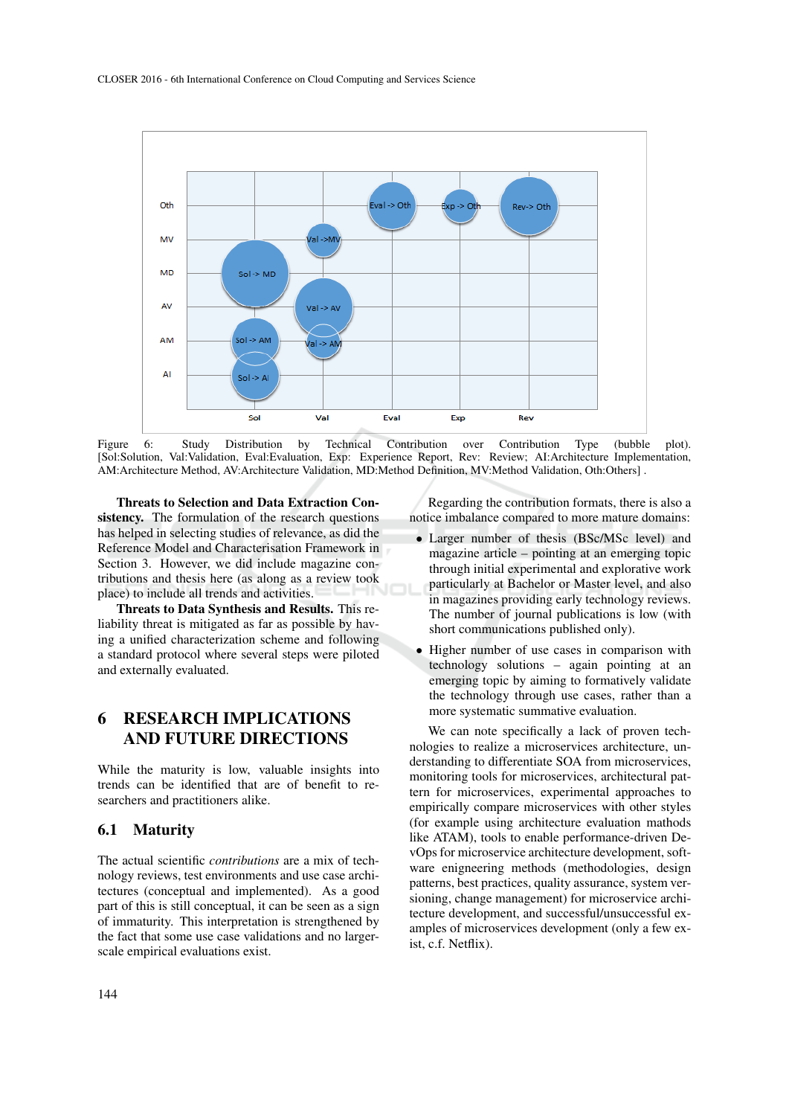

Figure 6: Study Distribution by Technical Contribution over Contribution Type (bubble plot). [Sol:Solution, Val:Validation, Eval:Evaluation, Exp: Experience Report, Rev: Review; AI:Architecture Implementation, AM:Architecture Method, AV:Architecture Validation, MD:Method Definition, MV:Method Validation, Oth:Others] .

Threats to Selection and Data Extraction Consistency. The formulation of the research questions has helped in selecting studies of relevance, as did the Reference Model and Characterisation Framework in Section 3. However, we did include magazine contributions and thesis here (as along as a review took place) to include all trends and activities.

Threats to Data Synthesis and Results. This reliability threat is mitigated as far as possible by having a unified characterization scheme and following a standard protocol where several steps were piloted and externally evaluated.

# 6 RESEARCH IMPLICATIONS AND FUTURE DIRECTIONS

While the maturity is low, valuable insights into trends can be identified that are of benefit to researchers and practitioners alike.

#### 6.1 Maturity

The actual scientific *contributions* are a mix of technology reviews, test environments and use case architectures (conceptual and implemented). As a good part of this is still conceptual, it can be seen as a sign of immaturity. This interpretation is strengthened by the fact that some use case validations and no largerscale empirical evaluations exist.

Regarding the contribution formats, there is also a notice imbalance compared to more mature domains:

- Larger number of thesis (BSc/MSc level) and magazine article – pointing at an emerging topic through initial experimental and explorative work particularly at Bachelor or Master level, and also in magazines providing early technology reviews. The number of journal publications is low (with short communications published only).
- Higher number of use cases in comparison with technology solutions – again pointing at an emerging topic by aiming to formatively validate the technology through use cases, rather than a more systematic summative evaluation.

We can note specifically a lack of proven technologies to realize a microservices architecture, understanding to differentiate SOA from microservices, monitoring tools for microservices, architectural pattern for microservices, experimental approaches to empirically compare microservices with other styles (for example using architecture evaluation mathods like ATAM), tools to enable performance-driven DevOps for microservice architecture development, software enigneering methods (methodologies, design patterns, best practices, quality assurance, system versioning, change management) for microservice architecture development, and successful/unsuccessful examples of microservices development (only a few exist, c.f. Netflix).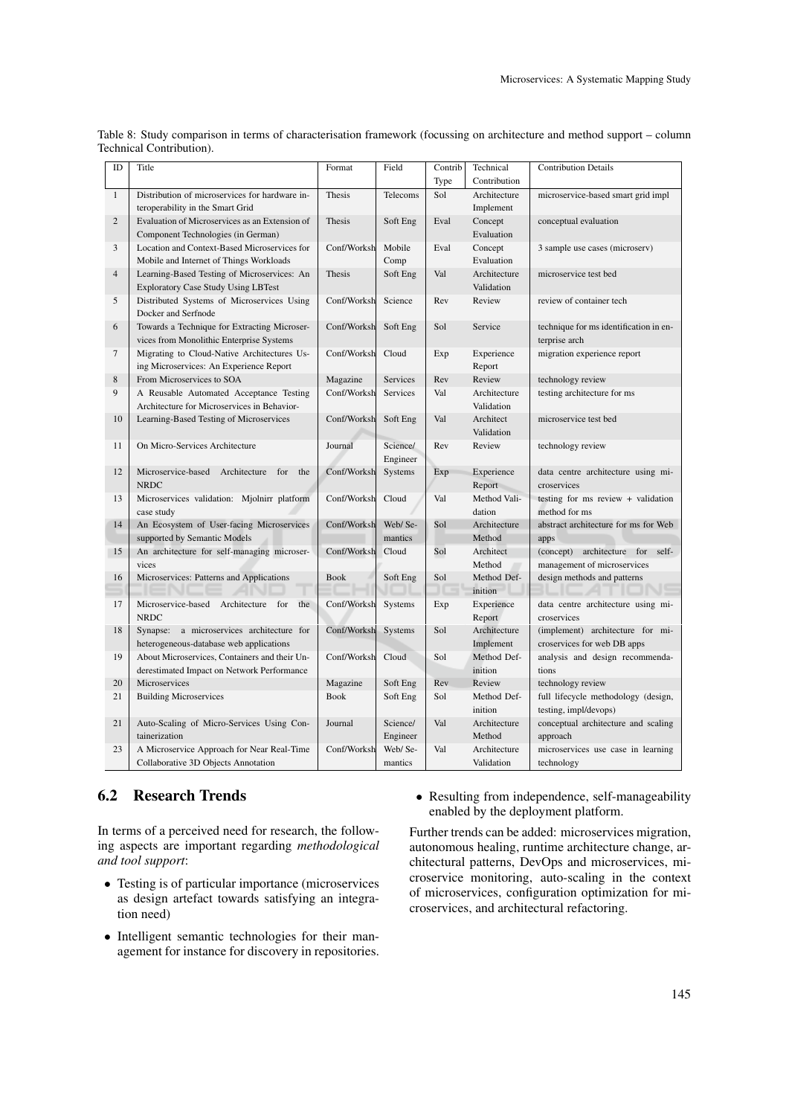| ID              | Title                                                                                       | Format      | Field              | Contrib | Technical                  | <b>Contribution Details</b>                                     |
|-----------------|---------------------------------------------------------------------------------------------|-------------|--------------------|---------|----------------------------|-----------------------------------------------------------------|
|                 |                                                                                             |             |                    | Type    | Contribution               |                                                                 |
| 1               | Distribution of microservices for hardware in-                                              | Thesis      | Telecoms           | Sol     | Architecture               | microservice-based smart grid impl                              |
|                 | teroperability in the Smart Grid                                                            |             |                    |         | Implement                  |                                                                 |
| $\overline{2}$  | Evaluation of Microservices as an Extension of                                              | Thesis      | Soft Eng           | Eval    | Concept                    | conceptual evaluation                                           |
|                 | Component Technologies (in German)                                                          |             |                    |         | Evaluation                 |                                                                 |
| 3               | Location and Context-Based Microservices for                                                | Conf/Worksh | Mobile             | Eval    | Concept                    | 3 sample use cases (microserv)                                  |
|                 | Mobile and Internet of Things Workloads                                                     |             | Comp               |         | Evaluation                 |                                                                 |
| $\overline{4}$  | Learning-Based Testing of Microservices: An                                                 | Thesis      | Soft Eng           | Val     | Architecture               | microservice test bed                                           |
|                 | <b>Exploratory Case Study Using LBTest</b>                                                  |             |                    |         | Validation                 |                                                                 |
| 5               | Distributed Systems of Microservices Using<br>Docker and Serfnode                           | Conf/Worksh | Science            | Rev     | Review                     | review of container tech                                        |
| 6               | Towards a Technique for Extracting Microser-<br>vices from Monolithic Enterprise Systems    | Conf/Worksh | Soft Eng           | Sol     | Service                    | technique for ms identification in en-<br>terprise arch         |
| $7\phantom{.0}$ | Migrating to Cloud-Native Architectures Us-                                                 | Conf/Worksh | Cloud              | Exp     | Experience                 | migration experience report                                     |
|                 | ing Microservices: An Experience Report                                                     |             |                    |         | Report                     |                                                                 |
| 8               | From Microservices to SOA                                                                   | Magazine    | Services           | Rev     | Review                     | technology review                                               |
| 9               | A Reusable Automated Acceptance Testing                                                     | Conf/Worksh | Services           | Val     | Architecture               | testing architecture for ms                                     |
|                 | Architecture for Microservices in Behavior-                                                 |             |                    |         | Validation                 |                                                                 |
| 10              | Learning-Based Testing of Microservices                                                     | Conf/Worksh | Soft Eng           | Val     | Architect                  | microservice test bed                                           |
|                 |                                                                                             |             |                    |         | Validation                 |                                                                 |
| 11              | On Micro-Services Architecture                                                              | Journal     | Science/           | Rev     | Review                     | technology review                                               |
| 12              | Microservice-based Architecture                                                             | Conf/Worksh | Engineer           |         |                            |                                                                 |
|                 | for<br>the<br><b>NRDC</b>                                                                   |             | Systems            | Exp     | Experience<br>Report       | data centre architecture using mi-<br>croservices               |
| 13              | Microservices validation: Mjolnirr platform<br>case study                                   | Conf/Worksh | Cloud              | Val     | Method Vali-<br>dation     | testing for $ms$ review $+$ validation<br>method for ms         |
| 14              | An Ecosystem of User-facing Microservices                                                   | Conf/Worksh | Web/Se-            | Sol     | Architecture               | abstract architecture for ms for Web                            |
|                 | supported by Semantic Models                                                                |             | mantics            |         | Method                     | apps                                                            |
| 15              | An architecture for self-managing microser-                                                 | Conf/Worksh | Cloud              | Sol     | Architect                  | (concept) architecture for self-                                |
|                 | vices                                                                                       |             |                    |         | Method                     | management of microservices                                     |
| 16              | Microservices: Patterns and Applications                                                    | <b>Book</b> | Soft Eng           | Sol     | Method Def-                | design methods and patterns                                     |
|                 |                                                                                             |             |                    |         | inition                    |                                                                 |
| 17              | Microservice-based Architecture for<br>the<br><b>NRDC</b>                                   | Conf/Worksh | Systems            | Exp     | Experience<br>Report       | data centre architecture using mi-<br>croservices               |
| 18              | Synapse: a microservices architecture for<br>heterogeneous-database web applications        | Conf/Worksh | Systems            | Sol     | Architecture<br>Implement  | (implement) architecture for mi-<br>croservices for web DB apps |
| 19              | About Microservices, Containers and their Un-<br>derestimated Impact on Network Performance | Conf/Worksh | Cloud              | Sol     | Method Def-<br>inition     | analysis and design recommenda-<br>tions                        |
| 20              | Microservices                                                                               | Magazine    | Soft Eng           | Rev     | Review                     | technology review                                               |
| 21              | <b>Building Microservices</b>                                                               | <b>Book</b> | Soft Eng           | Sol     | Method Def-                | full lifecycle methodology (design,                             |
|                 |                                                                                             |             |                    |         | inition                    | testing, impl/devops)                                           |
| 21              | Auto-Scaling of Micro-Services Using Con-                                                   | Journal     | Science/           | Val     | Architecture               | conceptual architecture and scaling                             |
|                 | tainerization                                                                               |             | Engineer           |         | Method                     | approach                                                        |
| 23              | A Microservice Approach for Near Real-Time<br>Collaborative 3D Objects Annotation           | Conf/Worksh | Web/Se-<br>mantics | Val     | Architecture<br>Validation | microservices use case in learning<br>technology                |

Table 8: Study comparison in terms of characterisation framework (focussing on architecture and method support – column Technical Contribution).

### 6.2 Research Trends

In terms of a perceived need for research, the following aspects are important regarding *methodological and tool support*:

- Testing is of particular importance (microservices as design artefact towards satisfying an integration need)
- Intelligent semantic technologies for their management for instance for discovery in repositories.

• Resulting from independence, self-manageability enabled by the deployment platform.

Further trends can be added: microservices migration, autonomous healing, runtime architecture change, architectural patterns, DevOps and microservices, microservice monitoring, auto-scaling in the context of microservices, configuration optimization for microservices, and architectural refactoring.